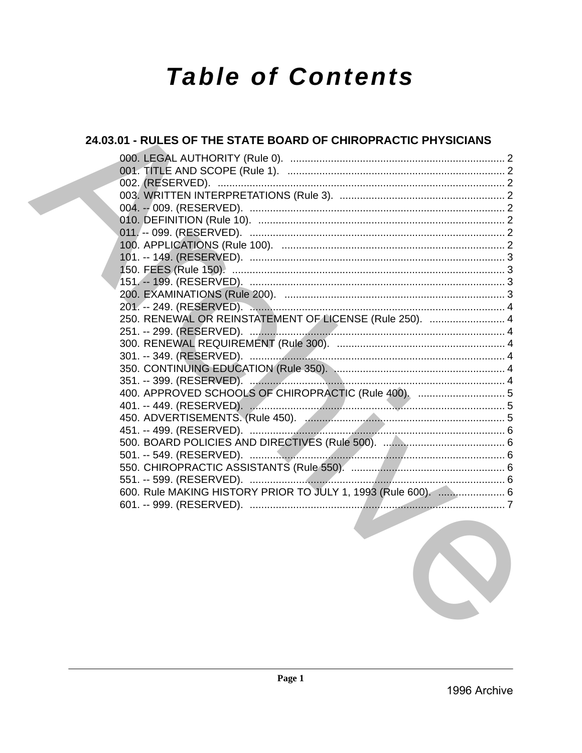# **Table of Contents**

# 24.03.01 - RULES OF THE STATE BOARD OF CHIROPRACTIC PHYSICIANS 250. RENEWAL OR REINSTATEMENT OF LICENSE (Rule 250). ......................... 4 400. APPROVED SCHOOLS OF CHIROPRACTIC (Rule 400). ............................... 5 600. Rule MAKING HISTORY PRIOR TO JULY 1, 1993 (Rule 600). ....................... 6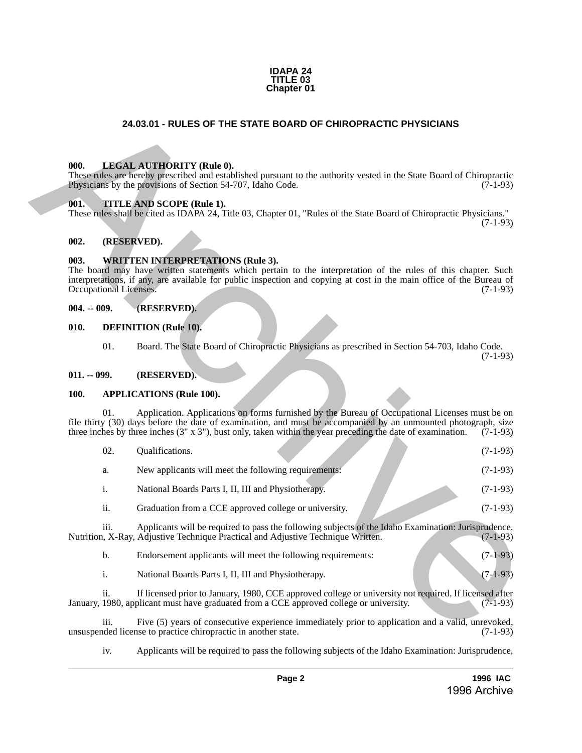

# **24.03.01 - RULES OF THE STATE BOARD OF CHIROPRACTIC PHYSICIANS**

#### <span id="page-1-1"></span>**000. LEGAL AUTHORITY (Rule 0).**

#### <span id="page-1-2"></span>**001. TITLE AND SCOPE (Rule 1).**

## <span id="page-1-3"></span>**002. (RESERVED).**

#### <span id="page-1-4"></span>**003. WRITTEN INTERPRETATIONS (Rule 3).**

#### <span id="page-1-5"></span>**004. -- 009. (RESERVED).**

#### <span id="page-1-6"></span>**010. DEFINITION (Rule 10).**

#### <span id="page-1-7"></span>**011. -- 099. (RESERVED).**

#### <span id="page-1-8"></span>**100. APPLICATIONS (Rule 100).**

<span id="page-1-0"></span>

| 24.03.01 - RULES OF THE STATE BOARD OF CHIROPRACTIC PHYSICIANS |                                                                                                                                                                                                                                                                                  |                |                                                                                                                                                                                                                                                                                                                                           |            |  |  |  |
|----------------------------------------------------------------|----------------------------------------------------------------------------------------------------------------------------------------------------------------------------------------------------------------------------------------------------------------------------------|----------------|-------------------------------------------------------------------------------------------------------------------------------------------------------------------------------------------------------------------------------------------------------------------------------------------------------------------------------------------|------------|--|--|--|
|                                                                |                                                                                                                                                                                                                                                                                  |                |                                                                                                                                                                                                                                                                                                                                           |            |  |  |  |
|                                                                | 000.                                                                                                                                                                                                                                                                             |                | <b>LEGAL AUTHORITY (Rule 0).</b><br>These rules are hereby prescribed and established pursuant to the authority vested in the State Board of Chiropractic<br>Physicians by the provisions of Section 54-707, Idaho Code.                                                                                                                  | $(7-1-93)$ |  |  |  |
|                                                                | 001.                                                                                                                                                                                                                                                                             |                | TITLE AND SCOPE (Rule 1).<br>These rules shall be cited as IDAPA 24, Title 03, Chapter 01, "Rules of the State Board of Chiropractic Physicians."                                                                                                                                                                                         | $(7-1-93)$ |  |  |  |
|                                                                | 002.                                                                                                                                                                                                                                                                             | (RESERVED).    |                                                                                                                                                                                                                                                                                                                                           |            |  |  |  |
|                                                                | <b>WRITTEN INTERPRETATIONS (Rule 3).</b><br>The board may have written statements which pertain to the interpretation of the rules of this chapter. Such<br>interpretations, if any, are available for public inspection and copying at cost in the main office of the Bureau of | $(7-1-93)$     |                                                                                                                                                                                                                                                                                                                                           |            |  |  |  |
| Occupational Licenses.<br>$004. - 009.$<br>010.<br>01.         |                                                                                                                                                                                                                                                                                  |                | (RESERVED).                                                                                                                                                                                                                                                                                                                               |            |  |  |  |
|                                                                |                                                                                                                                                                                                                                                                                  |                | <b>DEFINITION</b> (Rule 10).                                                                                                                                                                                                                                                                                                              |            |  |  |  |
|                                                                |                                                                                                                                                                                                                                                                                  |                | Board. The State Board of Chiropractic Physicians as prescribed in Section 54-703, Idaho Code.                                                                                                                                                                                                                                            | $(7-1-93)$ |  |  |  |
|                                                                | $011. - 099.$                                                                                                                                                                                                                                                                    |                | (RESERVED).                                                                                                                                                                                                                                                                                                                               |            |  |  |  |
|                                                                | 100.                                                                                                                                                                                                                                                                             |                | <b>APPLICATIONS (Rule 100).</b>                                                                                                                                                                                                                                                                                                           |            |  |  |  |
|                                                                |                                                                                                                                                                                                                                                                                  | 01.            | Application. Applications on forms furnished by the Bureau of Occupational Licenses must be on<br>file thirty (30) days before the date of examination, and must be accompanied by an unmounted photograph, size<br>three inches by three inches $(3'' \times 3'')$ , bust only, taken within the year preceding the date of examination. | $(7-1-93)$ |  |  |  |
|                                                                |                                                                                                                                                                                                                                                                                  | 02.            | Qualifications.                                                                                                                                                                                                                                                                                                                           | $(7-1-93)$ |  |  |  |
|                                                                |                                                                                                                                                                                                                                                                                  | a.             | New applicants will meet the following requirements:                                                                                                                                                                                                                                                                                      | $(7-1-93)$ |  |  |  |
|                                                                |                                                                                                                                                                                                                                                                                  | i.             | National Boards Parts I, II, III and Physiotherapy.                                                                                                                                                                                                                                                                                       | $(7-1-93)$ |  |  |  |
|                                                                |                                                                                                                                                                                                                                                                                  | ii.            | Graduation from a CCE approved college or university.                                                                                                                                                                                                                                                                                     | $(7-1-93)$ |  |  |  |
|                                                                |                                                                                                                                                                                                                                                                                  | 111.           | Applicants will be required to pass the following subjects of the Idaho Examination: Jurisprudence,<br>Nutrition, X-Ray, Adjustive Technique Practical and Adjustive Technique Written.                                                                                                                                                   | $(7-1-93)$ |  |  |  |
|                                                                |                                                                                                                                                                                                                                                                                  | $\mathbf b$ .  | Endorsement applicants will meet the following requirements:                                                                                                                                                                                                                                                                              | $(7-1-93)$ |  |  |  |
|                                                                |                                                                                                                                                                                                                                                                                  | $\mathbf{i}$ . | National Boards Parts I, II, III and Physiotherapy.                                                                                                                                                                                                                                                                                       | $(7-1-93)$ |  |  |  |
|                                                                |                                                                                                                                                                                                                                                                                  | ii.            | If licensed prior to January, 1980, CCE approved college or university not required. If licensed after<br>January, 1980, applicant must have graduated from a CCE approved college or university.                                                                                                                                         | $(7-1-93)$ |  |  |  |
|                                                                |                                                                                                                                                                                                                                                                                  | iii.           | Five (5) years of consecutive experience immediately prior to application and a valid, unrevoked,<br>unsuspended license to practice chiropractic in another state.                                                                                                                                                                       | $(7-1-93)$ |  |  |  |

iii. Five (5) years of consecutive experience immediately prior to application and a valid, unrevoked, unsuspended license to practice chiropractic in another state.

iv. Applicants will be required to pass the following subjects of the Idaho Examination: Jurisprudence,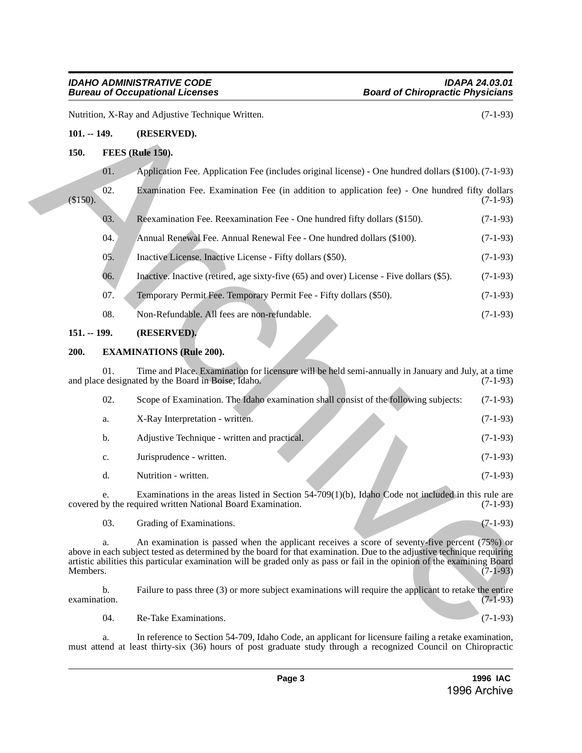# <span id="page-2-0"></span>**101. -- 149. (RESERVED).**

# <span id="page-2-1"></span>**150. FEES (Rule 150).**

| $\sqrt{02}$ .<br>$(\$150).$ | Examination Fee. Examination Fee (in addition to application fee) - One hundred fifty dollars |  |  |  |  | $(7-1-93)$ |
|-----------------------------|-----------------------------------------------------------------------------------------------|--|--|--|--|------------|
|                             | Reexamination Fee. Reexamination Fee - One hundred fifty dollars (\$150).                     |  |  |  |  | $(7-1-93)$ |

- 04. Annual Renewal Fee. Annual Renewal Fee One hundred dollars (\$100). (7-1-93)
- 05. Inactive License. Inactive License Fifty dollars (\$50). (7-1-93)
- 06. Inactive. Inactive (retired, age sixty-five (65) and over) License Five dollars (\$5). (7-1-93)
- 07. Temporary Permit Fee. Temporary Permit Fee Fifty dollars (\$50). (7-1-93)
- 08. Non-Refundable. All fees are non-refundable. (7-1-93)

# <span id="page-2-2"></span>**151. -- 199. (RESERVED).**

# <span id="page-2-3"></span>**200. EXAMINATIONS (Rule 200).**

| Nutrition, X-Ray and Adjustive Technique Written. |     |                                                                                                                                                                                                                                                                                                                                                                     |            |  |  |  |
|---------------------------------------------------|-----|---------------------------------------------------------------------------------------------------------------------------------------------------------------------------------------------------------------------------------------------------------------------------------------------------------------------------------------------------------------------|------------|--|--|--|
| $101. - 149.$                                     |     | (RESERVED).                                                                                                                                                                                                                                                                                                                                                         |            |  |  |  |
| 150.                                              |     | <b>FEES</b> (Rule 150).                                                                                                                                                                                                                                                                                                                                             |            |  |  |  |
|                                                   | 01. | Application Fee. Application Fee (includes original license) - One hundred dollars (\$100). (7-1-93)                                                                                                                                                                                                                                                                |            |  |  |  |
| (\$150).                                          | 02. | Examination Fee. Examination Fee (in addition to application fee) - One hundred fifty dollars                                                                                                                                                                                                                                                                       | $(7-1-93)$ |  |  |  |
|                                                   | 03. | Reexamination Fee. Reexamination Fee - One hundred fifty dollars (\$150).                                                                                                                                                                                                                                                                                           | $(7-1-93)$ |  |  |  |
|                                                   | 04. | Annual Renewal Fee. Annual Renewal Fee - One hundred dollars (\$100).                                                                                                                                                                                                                                                                                               | $(7-1-93)$ |  |  |  |
|                                                   | 05. | Inactive License. Inactive License - Fifty dollars (\$50).                                                                                                                                                                                                                                                                                                          | $(7-1-93)$ |  |  |  |
|                                                   | 06. | Inactive. Inactive (retired, age sixty-five (65) and over) License - Five dollars (\$5).                                                                                                                                                                                                                                                                            | $(7-1-93)$ |  |  |  |
|                                                   | 07. | Temporary Permit Fee. Temporary Permit Fee - Fifty dollars (\$50).                                                                                                                                                                                                                                                                                                  | $(7-1-93)$ |  |  |  |
|                                                   | 08. | Non-Refundable. All fees are non-refundable.                                                                                                                                                                                                                                                                                                                        | $(7-1-93)$ |  |  |  |
| $151. - 199.$                                     |     | (RESERVED).                                                                                                                                                                                                                                                                                                                                                         |            |  |  |  |
| 200.                                              |     | <b>EXAMINATIONS (Rule 200).</b>                                                                                                                                                                                                                                                                                                                                     |            |  |  |  |
|                                                   | 01. | Time and Place. Examination for licensure will be held semi-annually in January and July, at a time<br>and place designated by the Board in Boise, Idaho.                                                                                                                                                                                                           | $(7-1-93)$ |  |  |  |
|                                                   | 02. | Scope of Examination. The Idaho examination shall consist of the following subjects:                                                                                                                                                                                                                                                                                | $(7-1-93)$ |  |  |  |
|                                                   | a.  | X-Ray Interpretation - written.                                                                                                                                                                                                                                                                                                                                     | $(7-1-93)$ |  |  |  |
|                                                   | b.  | Adjustive Technique - written and practical.                                                                                                                                                                                                                                                                                                                        | $(7-1-93)$ |  |  |  |
|                                                   | c.  | Jurisprudence - written.                                                                                                                                                                                                                                                                                                                                            | $(7-1-93)$ |  |  |  |
|                                                   | d.  | Nutrition - written.                                                                                                                                                                                                                                                                                                                                                | $(7-1-93)$ |  |  |  |
|                                                   |     | Examinations in the areas listed in Section 54-709(1)(b), Idaho Code not included in this rule are<br>covered by the required written National Board Examination.                                                                                                                                                                                                   | $(7-1-93)$ |  |  |  |
|                                                   | 03. | Grading of Examinations.                                                                                                                                                                                                                                                                                                                                            | $(7-1-93)$ |  |  |  |
| Members.                                          | a.  | An examination is passed when the applicant receives a score of seventy-five percent $(75%)$ or<br>above in each subject tested as determined by the board for that examination. Due to the adjustive technique requiring<br>artistic abilities this particular examination will be graded only as pass or fail in the opinion of the examining Board<br>$(7-1-93)$ |            |  |  |  |
| examination.                                      | b.  | Failure to pass three (3) or more subject examinations will require the applicant to retake the entire                                                                                                                                                                                                                                                              | $(7-1-93)$ |  |  |  |
|                                                   | 04. | Re-Take Examinations.                                                                                                                                                                                                                                                                                                                                               | $(7-1-93)$ |  |  |  |
|                                                   |     |                                                                                                                                                                                                                                                                                                                                                                     |            |  |  |  |

a. In reference to Section 54-709, Idaho Code, an applicant for licensure failing a retake examination, must attend at least thirty-six (36) hours of post graduate study through a recognized Council on Chiropractic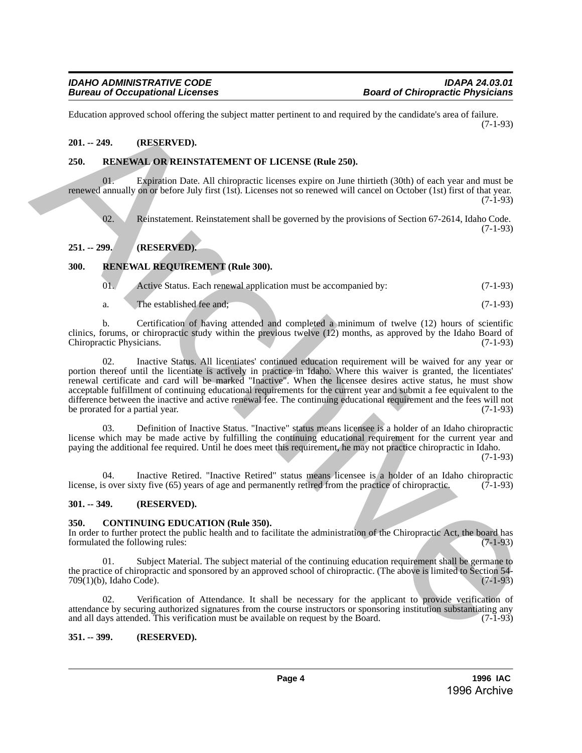Education approved school offering the subject matter pertinent to and required by the candidate's area of failure. (7-1-93)

# <span id="page-3-0"></span>**201. -- 249. (RESERVED).**

## <span id="page-3-1"></span>**250. RENEWAL OR REINSTATEMENT OF LICENSE (Rule 250).**

01. Expiration Date. All chiropractic licenses expire on June thirtieth (30th) of each year and must be renewed annually on or before July first (1st). Licenses not so renewed will cancel on October (1st) first of that year. (7-1-93)

02. Reinstatement. Reinstatement shall be governed by the provisions of Section 67-2614, Idaho Code. (7-1-93)

# <span id="page-3-2"></span>**251. -- 299. (RESERVED).**

# <span id="page-3-3"></span>**300. RENEWAL REQUIREMENT (Rule 300).**

| 01. |  | Active Status. Each renewal application must be accompanied by: | $(7-1-93)$ |
|-----|--|-----------------------------------------------------------------|------------|
|     |  |                                                                 |            |

a. The established fee and; (7-1-93)

b. Certification of having attended and completed a minimum of twelve (12) hours of scientific clinics, forums, or chiropractic study within the previous twelve (12) months, as approved by the Idaho Board of Chiropractic Physicians. (7-1-93) (7-1-93)

02. Inactive Status. All licentiates' continued education requirement will be waived for any year or portion thereof until the licentiate is actively in practice in Idaho. Where this waiver is granted, the licentiates' renewal certificate and card will be marked "Inactive". When the licensee desires active status, he must show acceptable fulfillment of continuing educational requirements for the current year and submit a fee equivalent to the difference between the inactive and active renewal fee. The continuing educational requirement and the fees will not be prorated for a partial year. (7-1-93) be prorated for a partial year. Financism approved schech offering the subject mater perties is to an experimently the cambinate specific  $\alpha$ .<br>
29. ARCHIVEN CHENNEN (Red 250),<br>
29. ARCHIVEN CHENNEN (Red 250),<br>
29. ARCHIVEN CHENNEN (Red 250),<br>
29. ARCHI

03. Definition of Inactive Status. "Inactive" status means licensee is a holder of an Idaho chiropractic license which may be made active by fulfilling the continuing educational requirement for the current year and paying the additional fee required. Until he does meet this requirement, he may not practice chiropractic in Idaho.

(7-1-93)

04. Inactive Retired. "Inactive Retired" status means licensee is a holder of an Idaho chiropractic sover sixty five  $(65)$  years of age and permanently retired from the practice of chiropractic.  $(7-1-93)$ license, is over sixty five (65) years of age and permanently retired from the practice of chiropractic.

# <span id="page-3-4"></span>**301. -- 349. (RESERVED).**

# <span id="page-3-5"></span>**350. CONTINUING EDUCATION (Rule 350).**

In order to further protect the public health and to facilitate the administration of the Chiropractic Act, the board has formulated the following rules: (7-1-93) formulated the following rules:

Subject Material. The subject material of the continuing education requirement shall be germane to the practice of chiropractic and sponsored by an approved school of chiropractic. (The above is limited to Section 54-<br>709(1)(b), Idaho Code). (7-1-93)  $709(1)(b)$ , Idaho Code).

02. Verification of Attendance. It shall be necessary for the applicant to provide verification of attendance by securing authorized signatures from the course instructors or sponsoring institution substantiating any and all days attended. This verification must be available on request by the Board. (7-1-93)

# <span id="page-3-6"></span>**351. -- 399. (RESERVED).**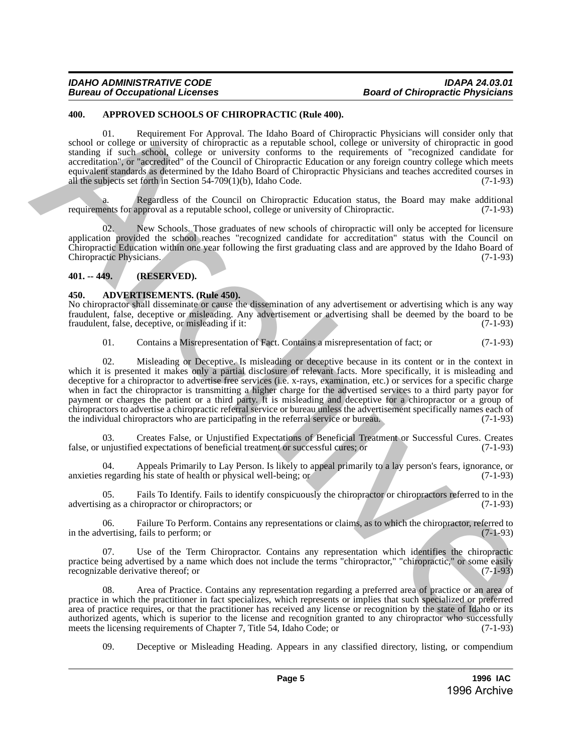### <span id="page-4-0"></span>**400. APPROVED SCHOOLS OF CHIROPRACTIC (Rule 400).**

01. Requirement For Approval. The Idaho Board of Chiropractic Physicians will consider only that school or college or university of chiropractic as a reputable school, college or university of chiropractic in good standing if such school, college or university conforms to the requirements of "recognized candidate for accreditation", or "accredited" of the Council of Chiropractic Education or any foreign country college which meets equivalent standards as determined by the Idaho Board of Chiropractic Physicians and teaches accredited courses in all the subjects set forth in Section 54-709(1)(b), Idaho Code.  $(7-1-93)$ 

a. Regardless of the Council on Chiropractic Education status, the Board may make additional requirements for approval as a reputable school, college or university of Chiropractic. (7-1-93)

02. New Schools. Those graduates of new schools of chiropractic will only be accepted for licensure application provided the school reaches "recognized candidate for accreditation" status with the Council on Chiropractic Education within one year following the first graduating class and are approved by the Idaho Board of Chiropractic Physicians. (7-1-93)

# <span id="page-4-1"></span>**401. -- 449. (RESERVED).**

# <span id="page-4-2"></span>**450. ADVERTISEMENTS. (Rule 450).**

No chiropractor shall disseminate or cause the dissemination of any advertisement or advertising which is any way fraudulent, false, deceptive or misleading. Any advertisement or advertising shall be deemed by the board to be fraudulent, false, deceptive, or misleading if it:

01. Contains a Misrepresentation of Fact. Contains a misrepresentation of fact; or (7-1-93)

02. Misleading or Deceptive. Is misleading or deceptive because in its content or in the context in which it is presented it makes only a partial disclosure of relevant facts. More specifically, it is misleading and deceptive for a chiropractor to advertise free services (i.e. x-rays, examination, etc.) or services for a specific charge when in fact the chiropractor is transmitting a higher charge for the advertised services to a third party payor for payment or charges the patient or a third party. It is misleading and deceptive for a chiropractor or a group of chiropractors to advertise a chiropractic referral service or bureau unless the advertisement specifically names each of the individual chiropractors who are participating in the referral service or bureau. (7-1-93) **404.** APPENDIX SCHODUS OF CHIRACTER COME COME INTO THE COME INTERNATION OF CORE CONTROL CONTROL CONTROL CONTROL CONTROL CONTROL CONTROL CONTROL CONTROL CONTROL CONTROL CONTROL CONTROL CONTROL CONTROL CONTROL CONTROL CONT

03. Creates False, or Unjustified Expectations of Beneficial Treatment or Successful Cures. Creates false, or unjustified expectations of beneficial treatment or successful cures; or (7-1-93)

04. Appeals Primarily to Lay Person. Is likely to appeal primarily to a lay person's fears, ignorance, or anxieties regarding his state of health or physical well-being; or (7-1-93)

05. Fails To Identify. Fails to identify conspicuously the chiropractor or chiropractors referred to in the advertising as a chiropractor or chiropractors; or (7-1-93)

06. Failure To Perform. Contains any representations or claims, as to which the chiropractor, referred to in the advertising, fails to perform; or (7-1-93)

Use of the Term Chiropractor. Contains any representation which identifies the chiropractic practice being advertised by a name which does not include the terms "chiropractor," "chiropractic," or some easily recognizable derivative thereof; or recognizable derivative thereof; or

08. Area of Practice. Contains any representation regarding a preferred area of practice or an area of practice in which the practitioner in fact specializes, which represents or implies that such specialized or preferred area of practice requires, or that the practitioner has received any license or recognition by the state of Idaho or its authorized agents, which is superior to the license and recognition granted to any chiropractor who successfully meets the licensing requirements of Chapter 7, Title 54, Idaho Code; or (7-1-93) meets the licensing requirements of Chapter 7, Title 54, Idaho Code; or

09. Deceptive or Misleading Heading. Appears in any classified directory, listing, or compendium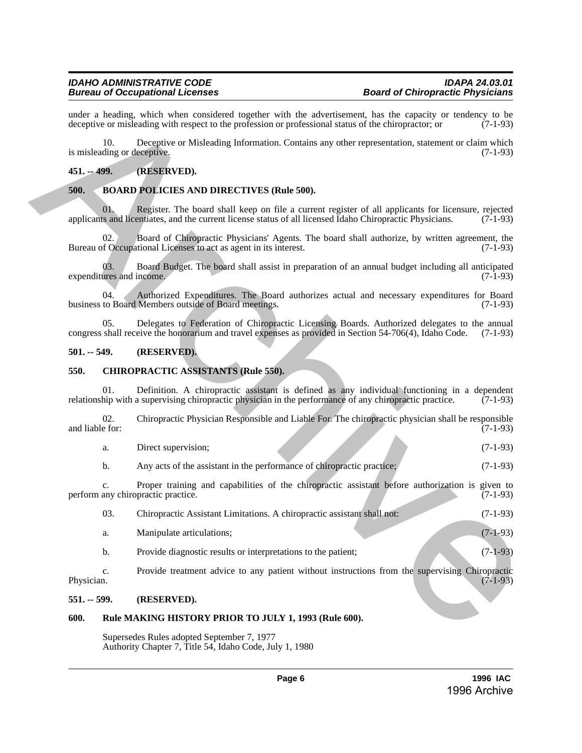# <span id="page-5-0"></span>**451. -- 499. (RESERVED).**

# <span id="page-5-1"></span>**500. BOARD POLICIES AND DIRECTIVES (Rule 500).**

# <span id="page-5-2"></span>**501. -- 549. (RESERVED).**

# <span id="page-5-3"></span>**550. CHIROPRACTIC ASSISTANTS (Rule 550).**

| Direct supervision:                                                    | $(7-1-93)$ |
|------------------------------------------------------------------------|------------|
| Any acts of the assistant in the performance of chiropractic practice; | $(7-1-93)$ |

|                 |     | under a heading, which when considered together with the advertisement, has the capacity or tendency to be<br>deceptive or misleading with respect to the profession or professional status of the chiropractor; or | $(7-1-93)$ |
|-----------------|-----|---------------------------------------------------------------------------------------------------------------------------------------------------------------------------------------------------------------------|------------|
|                 | 10. | Deceptive or Misleading Information. Contains any other representation, statement or claim which<br>is misleading or deceptive.                                                                                     | $(7-1-93)$ |
| $451. - 499.$   |     | (RESERVED).                                                                                                                                                                                                         |            |
| 500.            |     | <b>BOARD POLICIES AND DIRECTIVES (Rule 500).</b>                                                                                                                                                                    |            |
|                 | 01. | Register. The board shall keep on file a current register of all applicants for licensure, rejected<br>applicants and licentiates, and the current license status of all licensed Idaho Chiropractic Physicians.    | $(7-1-93)$ |
|                 | 02. | Board of Chiropractic Physicians' Agents. The board shall authorize, by written agreement, the<br>Bureau of Occupational Licenses to act as agent in its interest.                                                  | $(7-1-93)$ |
|                 | 03. | Board Budget. The board shall assist in preparation of an annual budget including all anticipated<br>expenditures and income.                                                                                       | $(7-1-93)$ |
|                 | 04. | Authorized Expenditures. The Board authorizes actual and necessary expenditures for Board<br>business to Board Members outside of Board meetings.                                                                   | $(7-1-93)$ |
|                 | 05. | Delegates to Federation of Chiropractic Licensing Boards. Authorized delegates to the annual<br>congress shall receive the honorarium and travel expenses as provided in Section 54-706(4), Idaho Code.             | $(7-1-93)$ |
| $501. - 549.$   |     | (RESERVED).                                                                                                                                                                                                         |            |
| 550.            |     | <b>CHIROPRACTIC ASSISTANTS (Rule 550).</b>                                                                                                                                                                          |            |
|                 | 01. | Definition. A chiropractic assistant is defined as any individual functioning in a dependent<br>relationship with a supervising chiropractic physician in the performance of any chiropractic practice.             | $(7-1-93)$ |
| and liable for: | 02. | Chiropractic Physician Responsible and Liable For. The chiropractic physician shall be responsible                                                                                                                  | $(7-1-93)$ |
|                 | a.  | Direct supervision;                                                                                                                                                                                                 | $(7-1-93)$ |
|                 | b.  | Any acts of the assistant in the performance of chiropractic practice;                                                                                                                                              | $(7-1-93)$ |
|                 | c.  | Proper training and capabilities of the chiropractic assistant before authorization is given to<br>perform any chiropractic practice.                                                                               | $(7-1-93)$ |
|                 | 03. | Chiropractic Assistant Limitations. A chiropractic assistant shall not:                                                                                                                                             | $(7-1-93)$ |
|                 | a.  | Manipulate articulations;                                                                                                                                                                                           | $(7-1-93)$ |
|                 | b.  | Provide diagnostic results or interpretations to the patient;                                                                                                                                                       | $(7-1-93)$ |
| Physician.      | c.  | Provide treatment advice to any patient without instructions from the supervising Chiropractic                                                                                                                      | $(7-1-93)$ |
| $551. - 599.$   |     | (RESERVED).                                                                                                                                                                                                         |            |
| 600.            |     | Rule MAKING HISTORY PRIOR TO JULY 1, 1993 (Rule 600).                                                                                                                                                               |            |
|                 |     |                                                                                                                                                                                                                     |            |

# <span id="page-5-4"></span>**551. -- 599. (RESERVED).**

## <span id="page-5-5"></span>**600. Rule MAKING HISTORY PRIOR TO JULY 1, 1993 (Rule 600).**

Supersedes Rules adopted September 7, 1977 Authority Chapter 7, Title 54, Idaho Code, July 1, 1980